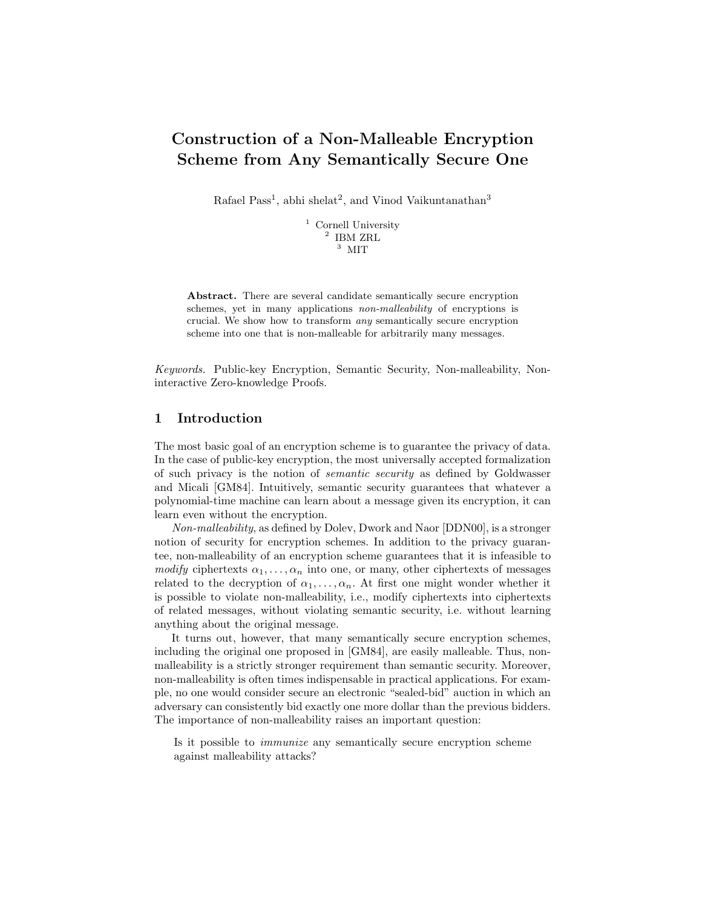# Construction of a Non-Malleable Encryption Scheme from Any Semantically Secure One

Rafael Pass<sup>1</sup>, abhi shelat<sup>2</sup>, and Vinod Vaikuntanathan<sup>3</sup>

<sup>1</sup> Cornell University  $^2$  IBM ZRL <sup>3</sup> MIT

Abstract. There are several candidate semantically secure encryption schemes, yet in many applications *non-malleability* of encryptions is crucial. We show how to transform any semantically secure encryption scheme into one that is non-malleable for arbitrarily many messages.

Keywords. Public-key Encryption, Semantic Security, Non-malleability, Noninteractive Zero-knowledge Proofs.

## 1 Introduction

The most basic goal of an encryption scheme is to guarantee the privacy of data. In the case of public-key encryption, the most universally accepted formalization of such privacy is the notion of semantic security as defined by Goldwasser and Micali [GM84]. Intuitively, semantic security guarantees that whatever a polynomial-time machine can learn about a message given its encryption, it can learn even without the encryption.

Non-malleability, as defined by Dolev, Dwork and Naor [DDN00], is a stronger notion of security for encryption schemes. In addition to the privacy guarantee, non-malleability of an encryption scheme guarantees that it is infeasible to modify ciphertexts  $\alpha_1, \ldots, \alpha_n$  into one, or many, other ciphertexts of messages related to the decryption of  $\alpha_1, \ldots, \alpha_n$ . At first one might wonder whether it is possible to violate non-malleability, i.e., modify ciphertexts into ciphertexts of related messages, without violating semantic security, i.e. without learning anything about the original message.

It turns out, however, that many semantically secure encryption schemes, including the original one proposed in [GM84], are easily malleable. Thus, nonmalleability is a strictly stronger requirement than semantic security. Moreover, non-malleability is often times indispensable in practical applications. For example, no one would consider secure an electronic "sealed-bid" auction in which an adversary can consistently bid exactly one more dollar than the previous bidders. The importance of non-malleability raises an important question:

Is it possible to immunize any semantically secure encryption scheme against malleability attacks?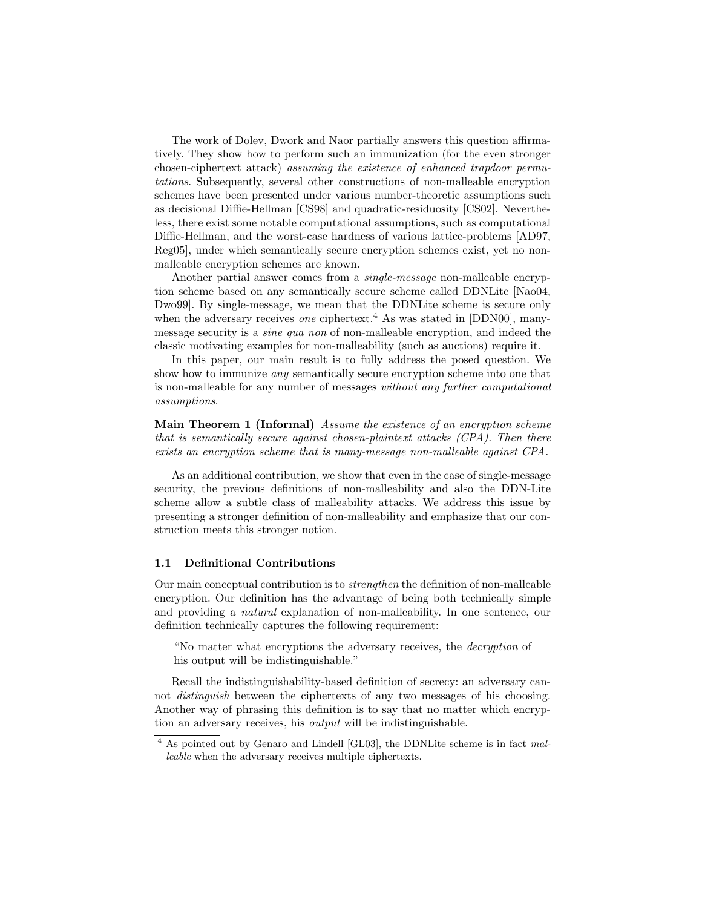The work of Dolev, Dwork and Naor partially answers this question affirmatively. They show how to perform such an immunization (for the even stronger chosen-ciphertext attack) assuming the existence of enhanced trapdoor permutations. Subsequently, several other constructions of non-malleable encryption schemes have been presented under various number-theoretic assumptions such as decisional Diffie-Hellman [CS98] and quadratic-residuosity [CS02]. Nevertheless, there exist some notable computational assumptions, such as computational Diffie-Hellman, and the worst-case hardness of various lattice-problems [AD97, Reg05], under which semantically secure encryption schemes exist, yet no nonmalleable encryption schemes are known.

Another partial answer comes from a single-message non-malleable encryption scheme based on any semantically secure scheme called DDNLite [Nao04, Dwo99]. By single-message, we mean that the DDNLite scheme is secure only when the adversary receives *one* ciphertext.<sup>4</sup> As was stated in [DDN00], manymessage security is a sine qua non of non-malleable encryption, and indeed the classic motivating examples for non-malleability (such as auctions) require it.

In this paper, our main result is to fully address the posed question. We show how to immunize any semantically secure encryption scheme into one that is non-malleable for any number of messages without any further computational assumptions.

Main Theorem 1 (Informal) Assume the existence of an encryption scheme that is semantically secure against chosen-plaintext attacks (CPA). Then there exists an encryption scheme that is many-message non-malleable against CPA.

As an additional contribution, we show that even in the case of single-message security, the previous definitions of non-malleability and also the DDN-Lite scheme allow a subtle class of malleability attacks. We address this issue by presenting a stronger definition of non-malleability and emphasize that our construction meets this stronger notion.

#### 1.1 Definitional Contributions

Our main conceptual contribution is to strengthen the definition of non-malleable encryption. Our definition has the advantage of being both technically simple and providing a natural explanation of non-malleability. In one sentence, our definition technically captures the following requirement:

"No matter what encryptions the adversary receives, the *decryption* of his output will be indistinguishable."

Recall the indistinguishability-based definition of secrecy: an adversary cannot distinguish between the ciphertexts of any two messages of his choosing. Another way of phrasing this definition is to say that no matter which encryption an adversary receives, his output will be indistinguishable.

 $4$  As pointed out by Genaro and Lindell [GL03], the DDNLite scheme is in fact malleable when the adversary receives multiple ciphertexts.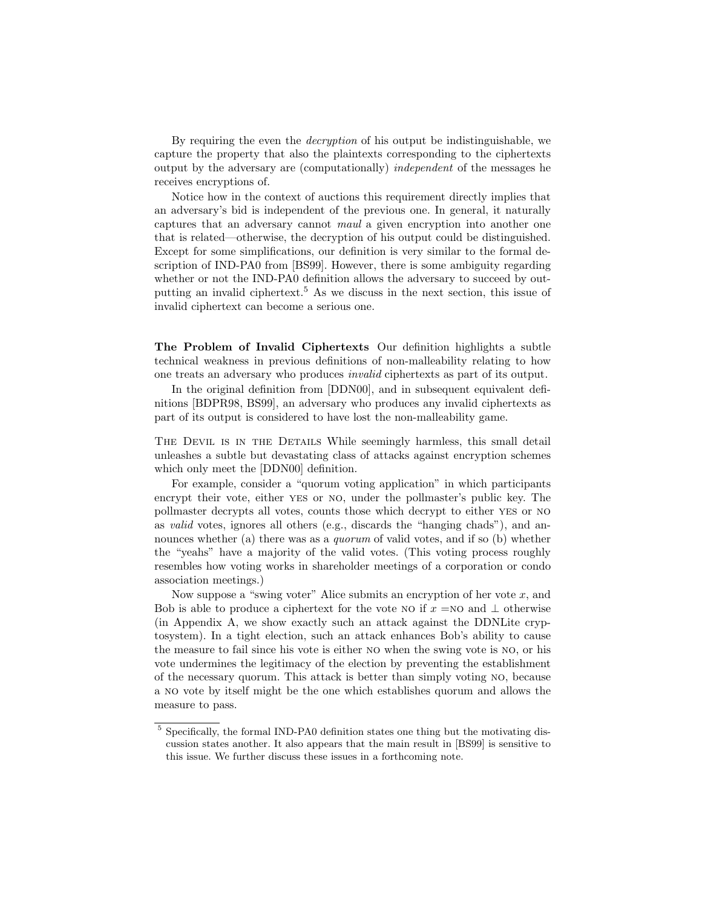By requiring the even the decryption of his output be indistinguishable, we capture the property that also the plaintexts corresponding to the ciphertexts output by the adversary are (computationally) independent of the messages he receives encryptions of.

Notice how in the context of auctions this requirement directly implies that an adversary's bid is independent of the previous one. In general, it naturally captures that an adversary cannot maul a given encryption into another one that is related—otherwise, the decryption of his output could be distinguished. Except for some simplifications, our definition is very similar to the formal description of IND-PA0 from [BS99]. However, there is some ambiguity regarding whether or not the IND-PA0 definition allows the adversary to succeed by outputting an invalid ciphertext.<sup>5</sup> As we discuss in the next section, this issue of invalid ciphertext can become a serious one.

The Problem of Invalid Ciphertexts Our definition highlights a subtle technical weakness in previous definitions of non-malleability relating to how one treats an adversary who produces invalid ciphertexts as part of its output.

In the original definition from [DDN00], and in subsequent equivalent definitions [BDPR98, BS99], an adversary who produces any invalid ciphertexts as part of its output is considered to have lost the non-malleability game.

The Devil is in the Details While seemingly harmless, this small detail unleashes a subtle but devastating class of attacks against encryption schemes which only meet the [DDN00] definition.

For example, consider a "quorum voting application" in which participants encrypt their vote, either yes or no, under the pollmaster's public key. The pollmaster decrypts all votes, counts those which decrypt to either yes or no as valid votes, ignores all others (e.g., discards the "hanging chads"), and announces whether (a) there was as a *quorum* of valid votes, and if so (b) whether the "yeahs" have a majority of the valid votes. (This voting process roughly resembles how voting works in shareholder meetings of a corporation or condo association meetings.)

Now suppose a "swing voter" Alice submits an encryption of her vote  $x$ , and Bob is able to produce a ciphertext for the vote no if  $x = NQ$  and  $\perp$  otherwise (in Appendix A, we show exactly such an attack against the DDNLite cryptosystem). In a tight election, such an attack enhances Bob's ability to cause the measure to fail since his vote is either no when the swing vote is no, or his vote undermines the legitimacy of the election by preventing the establishment of the necessary quorum. This attack is better than simply voting no, because a no vote by itself might be the one which establishes quorum and allows the measure to pass.

<sup>5</sup> Specifically, the formal IND-PA0 definition states one thing but the motivating discussion states another. It also appears that the main result in [BS99] is sensitive to this issue. We further discuss these issues in a forthcoming note.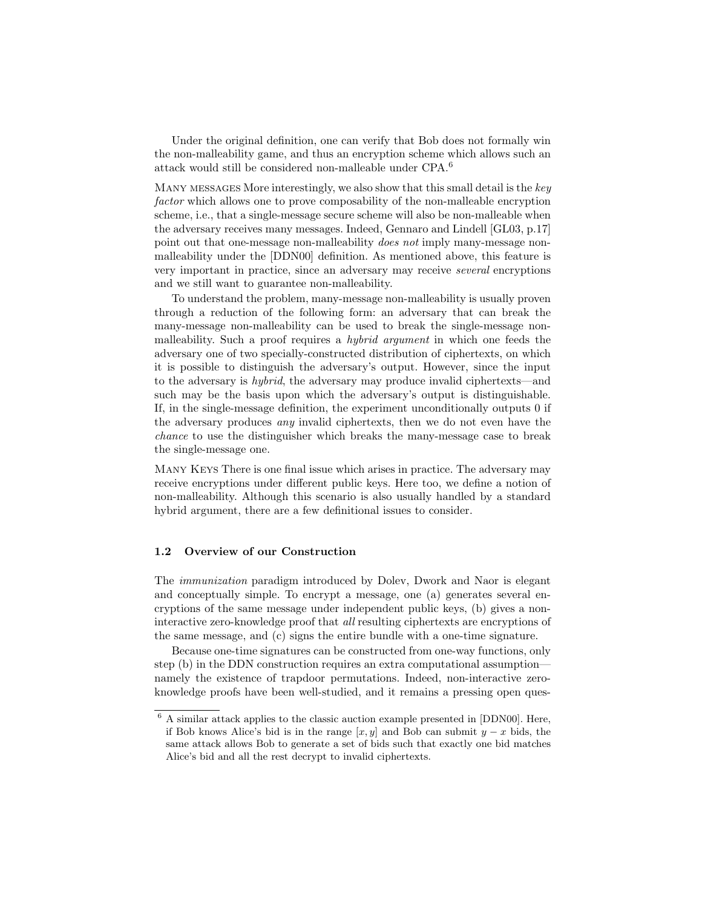Under the original definition, one can verify that Bob does not formally win the non-malleability game, and thus an encryption scheme which allows such an attack would still be considered non-malleable under CPA.<sup>6</sup>

MANY MESSAGES More interestingly, we also show that this small detail is the key factor which allows one to prove composability of the non-malleable encryption scheme, i.e., that a single-message secure scheme will also be non-malleable when the adversary receives many messages. Indeed, Gennaro and Lindell [GL03, p.17] point out that one-message non-malleability does not imply many-message nonmalleability under the [DDN00] definition. As mentioned above, this feature is very important in practice, since an adversary may receive several encryptions and we still want to guarantee non-malleability.

To understand the problem, many-message non-malleability is usually proven through a reduction of the following form: an adversary that can break the many-message non-malleability can be used to break the single-message nonmalleability. Such a proof requires a hybrid argument in which one feeds the adversary one of two specially-constructed distribution of ciphertexts, on which it is possible to distinguish the adversary's output. However, since the input to the adversary is hybrid, the adversary may produce invalid ciphertexts—and such may be the basis upon which the adversary's output is distinguishable. If, in the single-message definition, the experiment unconditionally outputs 0 if the adversary produces any invalid ciphertexts, then we do not even have the chance to use the distinguisher which breaks the many-message case to break the single-message one.

Many Keys There is one final issue which arises in practice. The adversary may receive encryptions under different public keys. Here too, we define a notion of non-malleability. Although this scenario is also usually handled by a standard hybrid argument, there are a few definitional issues to consider.

#### 1.2 Overview of our Construction

The immunization paradigm introduced by Dolev, Dwork and Naor is elegant and conceptually simple. To encrypt a message, one (a) generates several encryptions of the same message under independent public keys, (b) gives a noninteractive zero-knowledge proof that all resulting ciphertexts are encryptions of the same message, and (c) signs the entire bundle with a one-time signature.

Because one-time signatures can be constructed from one-way functions, only step (b) in the DDN construction requires an extra computational assumption namely the existence of trapdoor permutations. Indeed, non-interactive zeroknowledge proofs have been well-studied, and it remains a pressing open ques-

 $6$  A similar attack applies to the classic auction example presented in [DDN00]. Here, if Bob knows Alice's bid is in the range  $[x, y]$  and Bob can submit  $y - x$  bids, the same attack allows Bob to generate a set of bids such that exactly one bid matches Alice's bid and all the rest decrypt to invalid ciphertexts.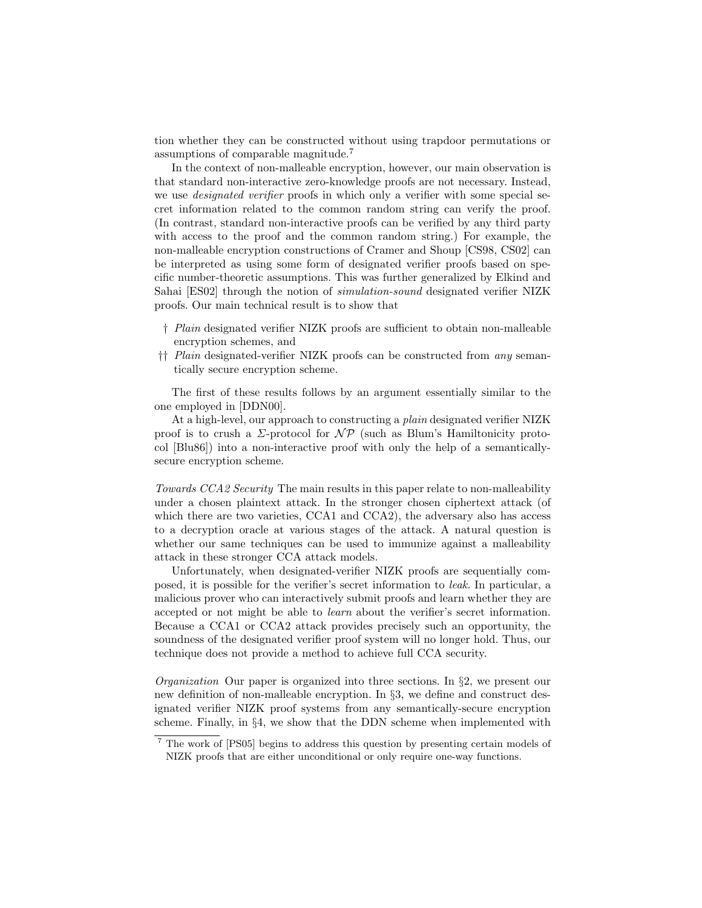tion whether they can be constructed without using trapdoor permutations or assumptions of comparable magnitude.<sup>7</sup>

In the context of non-malleable encryption, however, our main observation is that standard non-interactive zero-knowledge proofs are not necessary. Instead, we use *designated verifier* proofs in which only a verifier with some special secret information related to the common random string can verify the proof. (In contrast, standard non-interactive proofs can be verified by any third party with access to the proof and the common random string.) For example, the non-malleable encryption constructions of Cramer and Shoup [CS98, CS02] can be interpreted as using some form of designated verifier proofs based on specific number-theoretic assumptions. This was further generalized by Elkind and Sahai [ES02] through the notion of simulation-sound designated verifier NIZK proofs. Our main technical result is to show that

- † Plain designated verifier NIZK proofs are sufficient to obtain non-malleable encryption schemes, and
- †† Plain designated-verifier NIZK proofs can be constructed from any semantically secure encryption scheme.

The first of these results follows by an argument essentially similar to the one employed in [DDN00].

At a high-level, our approach to constructing a plain designated verifier NIZK proof is to crush a  $\Sigma$ -protocol for  $\mathcal{NP}$  (such as Blum's Hamiltonicity protocol [Blu86]) into a non-interactive proof with only the help of a semanticallysecure encryption scheme.

Towards CCA2 Security The main results in this paper relate to non-malleability under a chosen plaintext attack. In the stronger chosen ciphertext attack (of which there are two varieties, CCA1 and CCA2), the adversary also has access to a decryption oracle at various stages of the attack. A natural question is whether our same techniques can be used to immunize against a malleability attack in these stronger CCA attack models.

Unfortunately, when designated-verifier NIZK proofs are sequentially composed, it is possible for the verifier's secret information to leak. In particular, a malicious prover who can interactively submit proofs and learn whether they are accepted or not might be able to learn about the verifier's secret information. Because a CCA1 or CCA2 attack provides precisely such an opportunity, the soundness of the designated verifier proof system will no longer hold. Thus, our technique does not provide a method to achieve full CCA security.

Organization Our paper is organized into three sections. In §2, we present our new definition of non-malleable encryption. In §3, we define and construct designated verifier NIZK proof systems from any semantically-secure encryption scheme. Finally, in §4, we show that the DDN scheme when implemented with

<sup>7</sup> The work of [PS05] begins to address this question by presenting certain models of NIZK proofs that are either unconditional or only require one-way functions.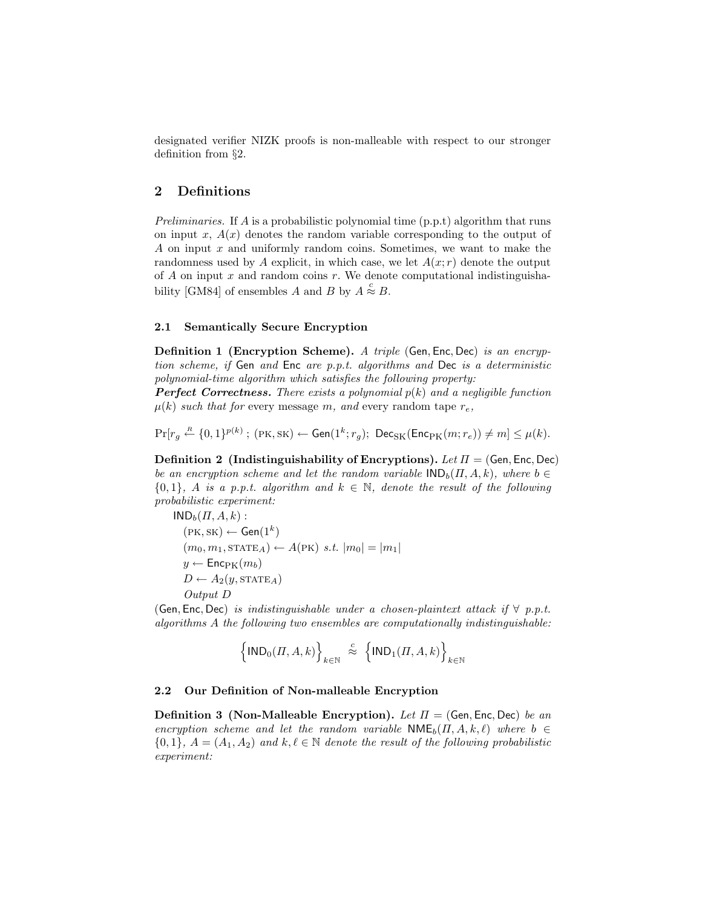designated verifier NIZK proofs is non-malleable with respect to our stronger definition from §2.

## 2 Definitions

Preliminaries. If A is a probabilistic polynomial time  $(p.p.t)$  algorithm that runs on input x,  $A(x)$  denotes the random variable corresponding to the output of A on input  $x$  and uniformly random coins. Sometimes, we want to make the randomness used by A explicit, in which case, we let  $A(x; r)$  denote the output of  $A$  on input  $x$  and random coins  $r$ . We denote computational indistinguishability [GM84] of ensembles A and B by  $A \stackrel{c}{\approx} B$ .

#### 2.1 Semantically Secure Encryption

Definition 1 (Encryption Scheme). A triple (Gen, Enc, Dec) is an encryption scheme, if Gen and Enc are p.p.t. algorithms and Dec is a deterministic polynomial-time algorithm which satisfies the following property:

**Perfect Correctness.** There exists a polynomial  $p(k)$  and a negligible function  $\mu(k)$  such that for every message m, and every random tape  $r_e$ ,

 $\Pr[r_g \stackrel{\text{\tiny{R}}}{\leftarrow} \{0,1\}^{p(k)} \, ; \, (\text{\tiny{PK}}, \text{\tiny{SK}}) \leftarrow \mathsf{Gen}(1^k; r_g); \, \, \mathsf{Dec}_{\text{\tiny{SK}}}(\mathsf{Enc}_{\text{\tiny{PK}}}(m; r_e)) \neq m] \leq \mu(k).$ 

Definition 2 (Indistinguishability of Encryptions). Let  $\Pi = (Gen, Enc, Dec)$ be an encryption scheme and let the random variable  $\mathsf{IND}_b(\Pi, A, k)$ , where  $b \in$  ${0, 1}$ , A is a p.p.t. algorithm and  $k \in \mathbb{N}$ , denote the result of the following probabilistic experiment:

 $IND_b(\Pi, A, k):$  $(PK, SK) \leftarrow Gen(1^k)$  $(m_0, m_1, \text{STATE}_A) \leftarrow A(\text{PK}) \ s.t. \ |m_0| = |m_1|$  $y \leftarrow$  Enc<sub>pk</sub> $(m_b)$  $D \leftarrow A_2(y, \text{STATE}_A)$ Output D

(Gen, Enc, Dec) is indistinguishable under a chosen-plaintext attack if  $\forall$  p.p.t. algorithms A the following two ensembles are computationally indistinguishable:

$$
\left\{\mathsf{IND}_0(\Pi, A, k)\right\}_{k\in\mathbb{N}} \stackrel{c}{\approx} \left\{\mathsf{IND}_1(\Pi, A, k)\right\}_{k\in\mathbb{N}}
$$

#### 2.2 Our Definition of Non-malleable Encryption

**Definition 3 (Non-Malleable Encryption).** Let  $\Pi = (Gen, Enc, Dec)$  be an encryption scheme and let the random variable  $NME_b(\Pi, A, k, \ell)$  where  $b \in$  $\{0,1\}, A = (A_1, A_2)$  and  $k, \ell \in \mathbb{N}$  denote the result of the following probabilistic experiment: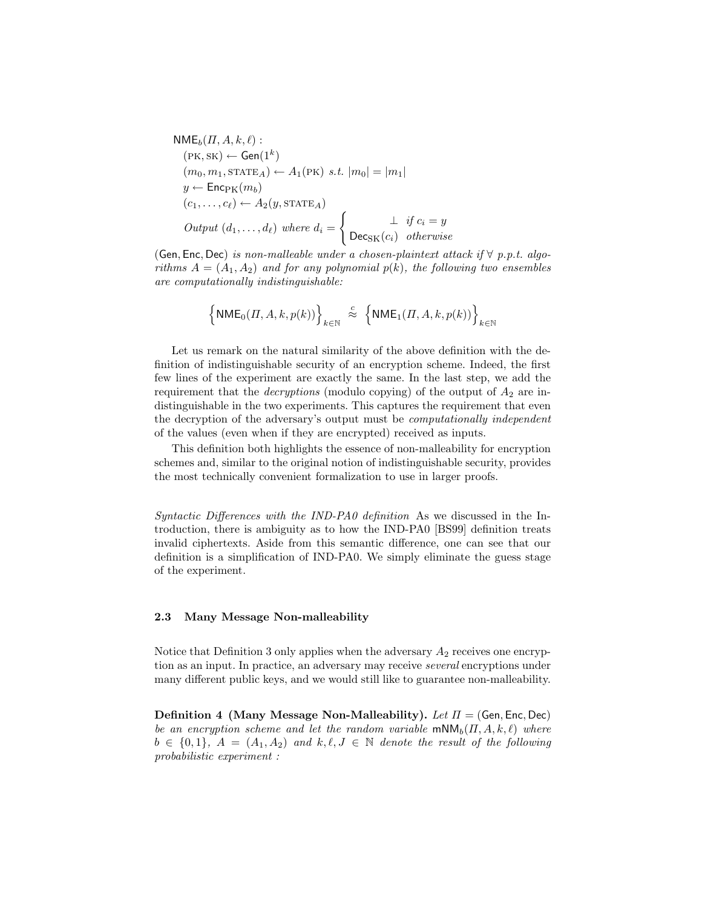$$
NMEb(II, A, k, l)
$$
:  
\n
$$
(PK, SK) \leftarrow Gen(1k)
$$
  
\n
$$
(m_0, m_1, STATE_A) \leftarrow A_1(PK) \ s.t. |m_0| = |m_1|
$$
  
\n
$$
y \leftarrow Enc_{PK}(m_b)
$$
  
\n
$$
(c_1, ..., c_\ell) \leftarrow A_2(y, STATE_A)
$$
  
\nOutput  $(d_1, ..., d_\ell)$  where  $d_i = \begin{cases} \quad \perp \ if \ c_i = y \\ \text{Dec}_{SK}(c_i) \ otherwise \end{cases}$ 

(Gen, Enc, Dec) is non-malleable under a chosen-plaintext attack if  $\forall p.p.t.$  algorithms  $A = (A_1, A_2)$  and for any polynomial  $p(k)$ , the following two ensembles are computationally indistinguishable:

$$
\Big\{\mathsf{NME}_0(\varPi, A, k, p(k))\Big\}_{k\in\mathbb{N}} ~\stackrel{c}{\approx}~ \Big\{\mathsf{NME}_1(\varPi, A, k, p(k))\Big\}_{k\in\mathbb{N}}
$$

Let us remark on the natural similarity of the above definition with the definition of indistinguishable security of an encryption scheme. Indeed, the first few lines of the experiment are exactly the same. In the last step, we add the requirement that the *decryptions* (modulo copying) of the output of  $A_2$  are indistinguishable in the two experiments. This captures the requirement that even the decryption of the adversary's output must be computationally independent of the values (even when if they are encrypted) received as inputs.

This definition both highlights the essence of non-malleability for encryption schemes and, similar to the original notion of indistinguishable security, provides the most technically convenient formalization to use in larger proofs.

Syntactic Differences with the IND-PA0 definition As we discussed in the Introduction, there is ambiguity as to how the IND-PA0 [BS99] definition treats invalid ciphertexts. Aside from this semantic difference, one can see that our definition is a simplification of IND-PA0. We simply eliminate the guess stage of the experiment.

#### 2.3 Many Message Non-malleability

Notice that Definition 3 only applies when the adversary  $A_2$  receives one encryption as an input. In practice, an adversary may receive several encryptions under many different public keys, and we would still like to guarantee non-malleability.

Definition 4 (Many Message Non-Malleability). Let  $\Pi = (Gen, Enc, Dec)$ be an encryption scheme and let the random variable  $mNM_b(\Pi, A, k, \ell)$  where  $b \in \{0,1\}, A = (A_1, A_2)$  and  $k, \ell, J \in \mathbb{N}$  denote the result of the following probabilistic experiment :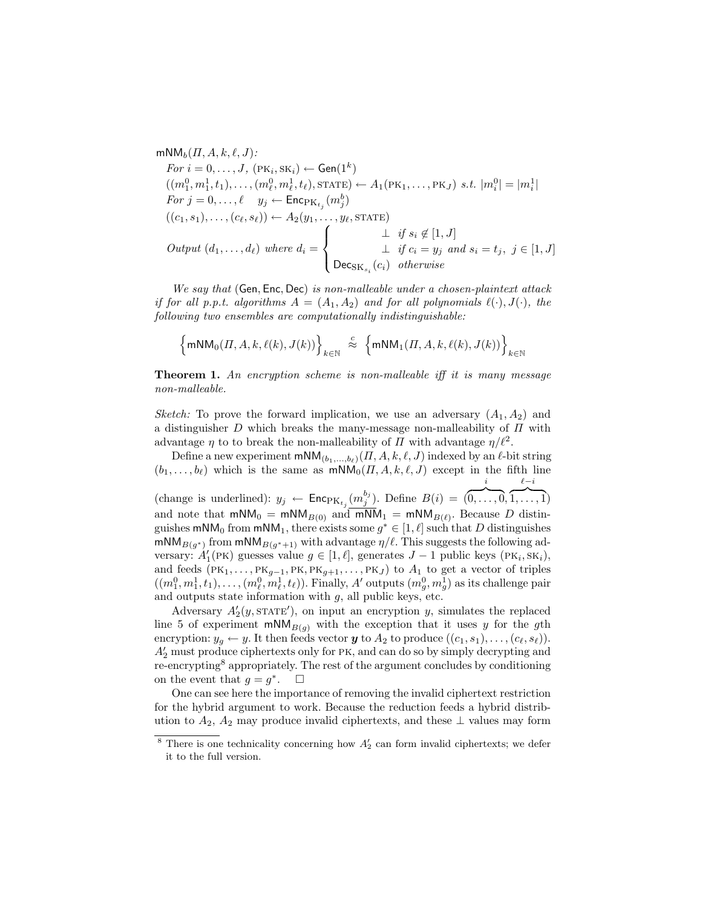$mNM_b(\Pi, A, k, \ell, J)$ :  $For i = 0, ..., J, (PK<sub>i</sub>, SK<sub>i</sub>) \leftarrow Gen(1<sup>k</sup>)$  $((m_1^0, m_1^1, t_1), \ldots, (m_\ell^0, m_\ell^1, t_\ell), \text{state}) \leftarrow A_1(\text{PK}_1, \ldots, \text{PK}_J) \ s.t. \ |m_i^0| = |m_i^1|$ For  $j = 0, \ldots, \ell$   $y_j \leftarrow \mathsf{Enc}_{\mathrm{PK}_{t_j}}(m_j^b)$  $((c_1, s_1), \ldots, (c_\ell, s_\ell)) \leftarrow A_2(y_1, \ldots, y_\ell, \text{STATE})$ Output  $(d_1, \ldots, d_\ell)$  where  $d_i =$  $\sqrt{ }$  $\int$  $\overline{a}$  $\perp$  if  $s_i \notin [1, J]$  $\perp$  if  $c_i = y_j$  and  $s_i = t_j, j \in [1, J]$  $\mathsf{Dec}_{\mathsf{SK}_{s_i}}(c_i)$  otherwise

We say that (Gen, Enc, Dec) is non-malleable under a chosen-plaintext attack if for all p.p.t. algorithms  $A = (A_1, A_2)$  and for all polynomials  $\ell(\cdot), J(\cdot)$ , the following two ensembles are computationally indistinguishable:

$$
\Big\{{\sf mNM}_0(\varPi,A,k,\ell(k),J(k))\Big\}_{k\in\mathbb{N}}\ \stackrel{c}{\approx}\ \Big\{{\sf mNM}_1(\varPi,A,k,\ell(k),J(k))\Big\}_{k\in\mathbb{N}}
$$

**Theorem 1.** An encryption scheme is non-malleable iff it is many message non-malleable.

Sketch: To prove the forward implication, we use an adversary  $(A_1, A_2)$  and a distinguisher D which breaks the many-message non-malleability of  $\Pi$  with advantage  $\eta$  to to break the non-malleability of  $\Pi$  with advantage  $\eta/\ell^2$ .

Define a new experiment  $mNM_{(b_1,...,b_\ell)}(II, A, k, \ell, J)$  indexed by an  $\ell$ -bit string  $(b_1, \ldots, b_\ell)$  which is the same as  $mNM_0(\Pi, A, k, \ell, J)$  except in the fifth line i  $\ell-i$ 

(change is underlined):  $y_j \leftarrow \text{Enc}_{PK_{t_j}}(m_j^{b_j})$ . Define  $B(i) = ($  $\overline{0, \ldots, 0},$  $\overline{1, \ldots, 1}$ and note that  $mNM_0 = mNM_{B(0)}$  and  $mNM_1 = mNM_{B(\ell)}$ . Because D distinguishes mNM<sub>0</sub> from mNM<sub>1</sub>, there exists some  $g^* \in [1, \ell]$  such that D distinguishes  $mNM_{B(g^*)}$  from  $mNM_{B(g^*+1)}$  with advantage  $\eta/\ell$ . This suggests the following adversary:  $A'_1$ (PK) guesses value  $g \in [1, \ell]$ , generates  $J - 1$  public keys (PK<sub>i</sub>, SK<sub>i</sub>), and feeds  $(PK_1, \ldots, PK_{g-1}, PK, PK_{g+1}, \ldots, PK_J)$  to  $A_1$  to get a vector of triples  $((m_1^0, m_1^1, t_1), \ldots, (m_\ell^0, m_\ell^1, t_\ell))$ . Finally, A' outputs  $(m_g^0, m_g^1)$  as its challenge pair and outputs state information with  $g$ , all public keys, etc.

Adversary  $A'_2(y, \text{STATE}'),$  on input an encryption y, simulates the replaced line 5 of experiment  $mNM_{B(g)}$  with the exception that it uses y for the gth encryption:  $y_q \leftarrow y$ . It then feeds vector **y** to  $A_2$  to produce  $((c_1, s_1), \ldots, (c_{\ell}, s_{\ell}))$ .  $A'_2$  must produce ciphertexts only for PK, and can do so by simply decrypting and re-encrypting<sup>8</sup> appropriately. The rest of the argument concludes by conditioning on the event that  $g = g^*$  $\Box$ 

One can see here the importance of removing the invalid ciphertext restriction for the hybrid argument to work. Because the reduction feeds a hybrid distribution to  $A_2$ ,  $A_2$  may produce invalid ciphertexts, and these  $\perp$  values may form

<sup>&</sup>lt;sup>8</sup> There is one technicality concerning how  $A'_2$  can form invalid ciphertexts; we defer it to the full version.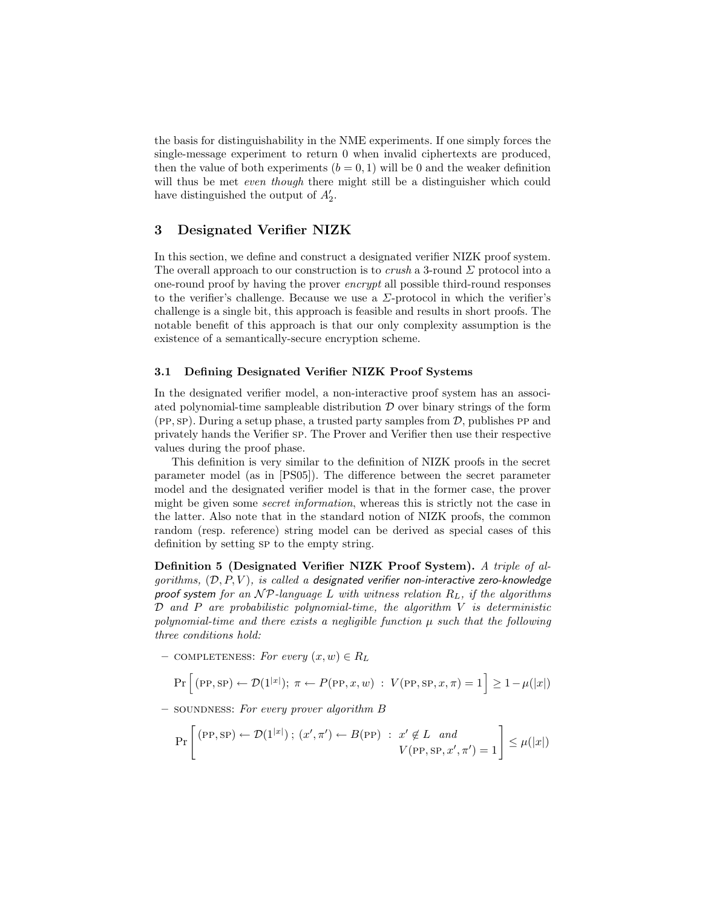the basis for distinguishability in the NME experiments. If one simply forces the single-message experiment to return 0 when invalid ciphertexts are produced, then the value of both experiments  $(b = 0, 1)$  will be 0 and the weaker definition will thus be met even though there might still be a distinguisher which could have distinguished the output of  $A'_2$ .

### 3 Designated Verifier NIZK

In this section, we define and construct a designated verifier NIZK proof system. The overall approach to our construction is to *crush* a 3-round  $\Sigma$  protocol into a one-round proof by having the prover encrypt all possible third-round responses to the verifier's challenge. Because we use a  $\Sigma$ -protocol in which the verifier's challenge is a single bit, this approach is feasible and results in short proofs. The notable benefit of this approach is that our only complexity assumption is the existence of a semantically-secure encryption scheme.

#### 3.1 Defining Designated Verifier NIZK Proof Systems

In the designated verifier model, a non-interactive proof system has an associated polynomial-time sampleable distribution  $\mathcal D$  over binary strings of the form (PP, SP). During a setup phase, a trusted party samples from  $D$ , publishes PP and privately hands the Verifier sp. The Prover and Verifier then use their respective values during the proof phase.

This definition is very similar to the definition of NIZK proofs in the secret parameter model (as in [PS05]). The difference between the secret parameter model and the designated verifier model is that in the former case, the prover might be given some *secret information*, whereas this is strictly not the case in the latter. Also note that in the standard notion of NIZK proofs, the common random (resp. reference) string model can be derived as special cases of this definition by setting  $SP$  to the empty string.

Definition 5 (Designated Verifier NIZK Proof System). A triple of algorithms,  $(D, P, V)$ , is called a designated verifier non-interactive zero-knowledge proof system for an  $\mathcal{NP}$ -language L with witness relation  $R_L$ , if the algorithms  $D$  and P are probabilistic polynomial-time, the algorithm V is deterministic polynomial-time and there exists a negligible function  $\mu$  such that the following three conditions hold:

– COMPLETENESS: For every  $(x, w) \in R_L$ 

$$
\Pr\Big[\big(\text{PP}, \text{SP}\big) \leftarrow \mathcal{D}(1^{|x|}); \ \pi \leftarrow P(\text{PP}, x, w) \ : \ V(\text{PP}, \text{SP}, x, \pi) = 1\Big] \ge 1 - \mu(|x|)
$$

 $-$  soundness: For every prover algorithm  $B$ 

$$
\Pr\left[\begin{array}{c}(\text{PP}, \text{SP}) \leftarrow \mathcal{D}(1^{|x|}) \, ; \, (x', \pi') \leftarrow B(\text{PP}) \; : \; x' \notin L \quad and \\ V(\text{PP}, \text{SP}, x', \pi') = 1 \end{array}\right] \leq \mu(|x|)
$$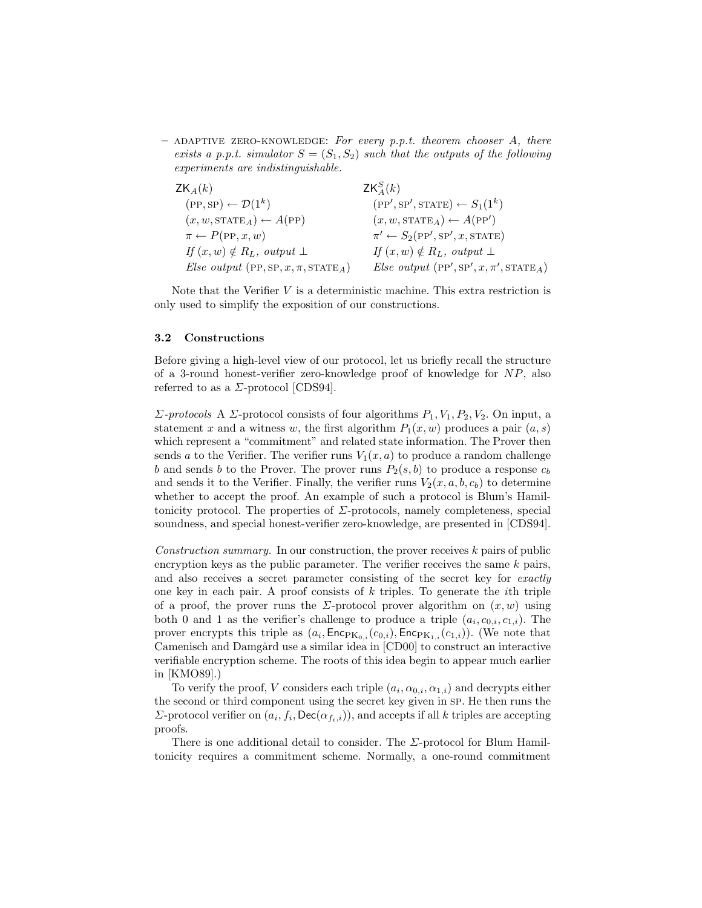$-$  ADAPTIVE ZERO-KNOWLEDGE: For every p.p.t. theorem chooser  $A$ , there exists a p.p.t. simulator  $S = (S_1, S_2)$  such that the outputs of the following experiments are indistinguishable.

 $ZK_A(k)$  $ZK_A^S(k)$  $(\text{PP}, \text{SP}) \leftarrow \mathcal{D}(1^k)$ )  $(\text{PP}', \text{SP}', \text{STATE}) \leftarrow S_1(1^k)$  $(x, w, \text{STATE}_A) \leftarrow A(\text{PP})$  $(x, w, \text{STATE}_A) \leftarrow A(\text{PP}')$  $\pi \leftarrow P(\text{PP}, x, w)$  $\mathcal{O}' \leftarrow S_2(\text{PP}', \text{SP}', x, \text{STATE})$ If  $(x, w) \notin R_L$ , output ⊥ If  $(x, w) \notin R_L$ , output ⊥ Else output  $(\text{PP}, \text{SP}, x, \pi, \text{STATE}_A)$  $, SP', x, \pi', \text{STATE}_A)$ 

Note that the Verifier  $V$  is a deterministic machine. This extra restriction is only used to simplify the exposition of our constructions.

#### 3.2 Constructions

Before giving a high-level view of our protocol, let us briefly recall the structure of a 3-round honest-verifier zero-knowledge proof of knowledge for NP, also referred to as a  $\Sigma$ -protocol [CDS94].

 $\Sigma$ -protocols A  $\Sigma$ -protocol consists of four algorithms  $P_1, V_1, P_2, V_2$ . On input, a statement x and a witness w, the first algorithm  $P_1(x, w)$  produces a pair  $(a, s)$ which represent a "commitment" and related state information. The Prover then sends a to the Verifier. The verifier runs  $V_1(x, a)$  to produce a random challenge b and sends b to the Prover. The prover runs  $P_2(s, b)$  to produce a response  $c_b$ and sends it to the Verifier. Finally, the verifier runs  $V_2(x, a, b, c_b)$  to determine whether to accept the proof. An example of such a protocol is Blum's Hamiltonicity protocol. The properties of  $\Sigma$ -protocols, namely completeness, special soundness, and special honest-verifier zero-knowledge, are presented in [CDS94].

Construction summary. In our construction, the prover receives  $k$  pairs of public encryption keys as the public parameter. The verifier receives the same  $k$  pairs, and also receives a secret parameter consisting of the secret key for exactly one key in each pair. A proof consists of  $k$  triples. To generate the *i*th triple of a proof, the prover runs the *Σ*-protocol prover algorithm on  $(x, w)$  using both 0 and 1 as the verifier's challenge to produce a triple  $(a_i, c_{0,i}, c_{1,i})$ . The prover encrypts this triple as  $(a_i, \text{Enc}_{PK_{0,i}}(c_{0,i}), \text{Enc}_{PK_{1,i}}(c_{1,i}))$ . (We note that Camenisch and Damgård use a similar idea in [CD00] to construct an interactive verifiable encryption scheme. The roots of this idea begin to appear much earlier in [KMO89].)

To verify the proof, V considers each triple  $(a_i, \alpha_{0,i}, \alpha_{1,i})$  and decrypts either the second or third component using the secret key given in sp. He then runs the Σ-protocol verifier on  $(a_i, f_i, \text{Dec}(\alpha_{f_i,i}))$ , and accepts if all k triples are accepting proofs.

There is one additional detail to consider. The Σ-protocol for Blum Hamiltonicity requires a commitment scheme. Normally, a one-round commitment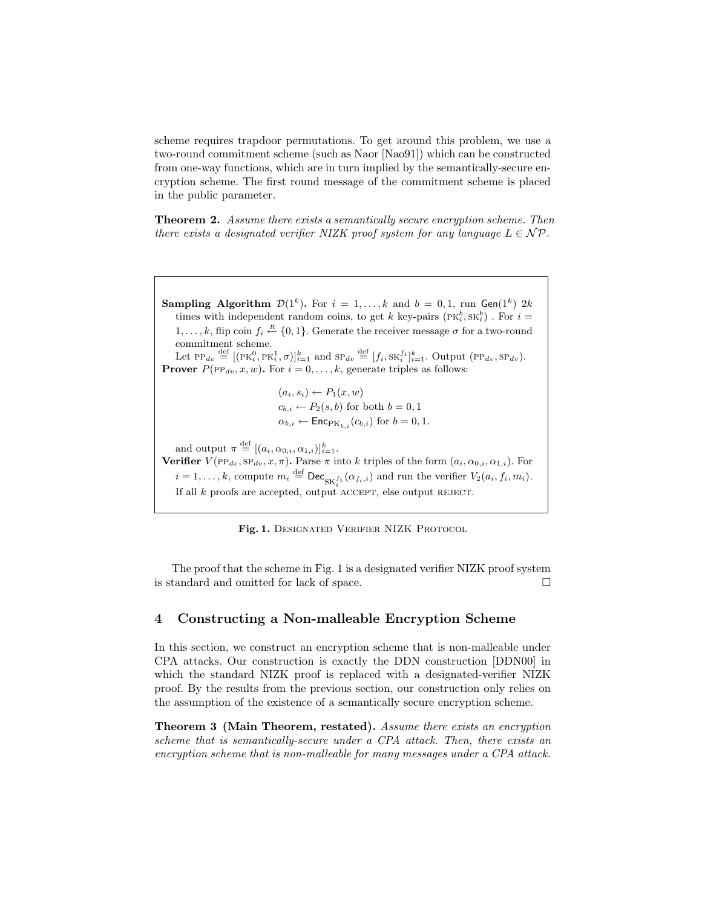scheme requires trapdoor permutations. To get around this problem, we use a two-round commitment scheme (such as Naor [Nao91]) which can be constructed from one-way functions, which are in turn implied by the semantically-secure encryption scheme. The first round message of the commitment scheme is placed in the public parameter.

**Theorem 2.** Assume there exists a semantically secure encryption scheme. Then there exists a designated verifier NIZK proof system for any language  $L \in \mathcal{NP}$ .

**Sampling Algorithm**  $\mathcal{D}(1^k)$ . For  $i = 1, ..., k$  and  $b = 0, 1$ , run Gen $(1^k)$  2k times with independent random coins, to get  $k$  key-pairs  $(\text{PK}_i^b, \text{SK}_i^b)$ . For  $i =$  $1, \ldots, k$ , flip coin  $f_i \stackrel{R}{\leftarrow} \{0, 1\}$ . Generate the receiver message  $\sigma$  for a two-round commitment scheme. Let  $PP_{dv} \stackrel{\text{def}}{=} [(\text{PK}_i^0, \text{PK}_i^1, \sigma)]_{i=1}^k$  and  $\text{SP}_{dv} \stackrel{\text{def}}{=} [f_i, \text{SK}_i^{f_i}]_{i=1}^k$ . Output  $(\text{PP}_{dv}, \text{SP}_{dv})$ . **Prover**  $P(\text{PP}_{dv}, x, w)$ . For  $i = 0, \ldots, k$ , generate triples as follows:  $(a_i, s_i) \leftarrow P_1(x, w)$ 

 $c_{b,i} \leftarrow P_2(s,b)$  for both  $b=0,1$  $\alpha_{b,i} \leftarrow \mathsf{Enc}_{\mathrm{PK}_{b,i}}(c_{b,i})$  for  $b = 0, 1$ .

and output  $\pi \stackrel{\text{def}}{=} [(a_i, \alpha_{0,i}, \alpha_{1,i})]_{i=1}^k$ .

Verifier  $V(\text{PP}_{dv}, \text{SP}_{dv}, x, \pi)$ . Parse  $\pi$  into k triples of the form  $(a_i, \alpha_{0,i}, \alpha_{1,i})$ . For  $i = 1, \ldots, k$ , compute  $m_i \stackrel{\text{def}}{=} \text{Dec}_{SK_i^f i}(\alpha_{f_i,i})$  and run the verifier  $V_2(a_i, f_i, m_i)$ . If all k proofs are accepted, output ACCEPT, else output REJECT.

Fig. 1. DESIGNATED VERIFIER NIZK PROTOCOL

The proof that the scheme in Fig. 1 is a designated verifier NIZK proof system is standard and omitted for lack of space.

## 4 Constructing a Non-malleable Encryption Scheme

In this section, we construct an encryption scheme that is non-malleable under CPA attacks. Our construction is exactly the DDN construction [DDN00] in which the standard NIZK proof is replaced with a designated-verifier NIZK proof. By the results from the previous section, our construction only relies on the assumption of the existence of a semantically secure encryption scheme.

Theorem 3 (Main Theorem, restated). Assume there exists an encryption scheme that is semantically-secure under a CPA attack. Then, there exists an encryption scheme that is non-malleable for many messages under a CPA attack.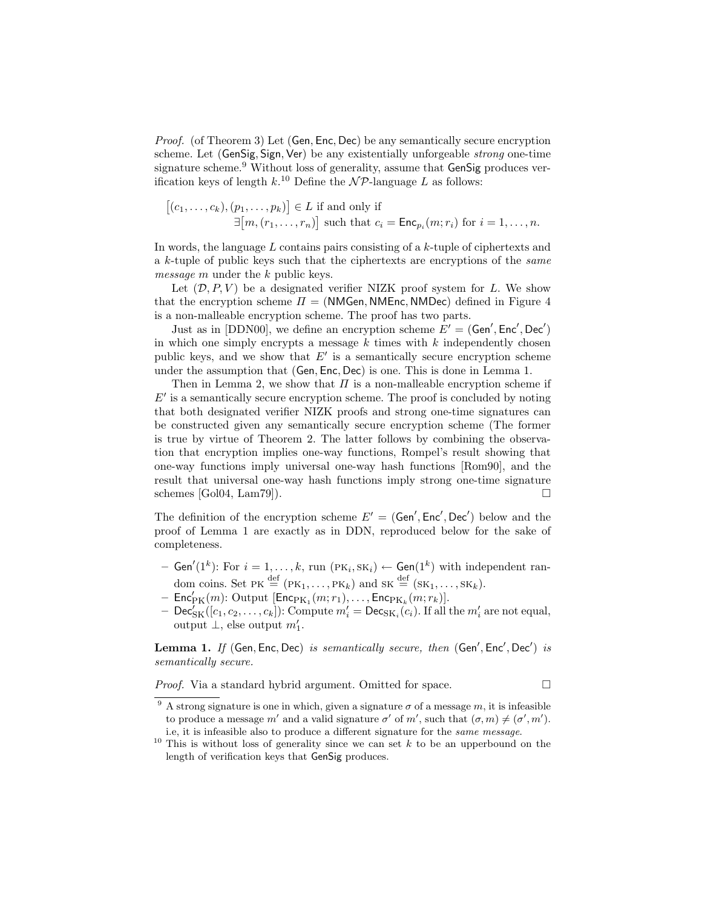Proof. (of Theorem 3) Let (Gen, Enc, Dec) be any semantically secure encryption scheme. Let (GenSig, Sign, Ver) be any existentially unforgeable *strong* one-time signature scheme.<sup>9</sup> Without loss of generality, assume that GenSig produces verification keys of length  $k$ .<sup>10</sup> Define the  $\mathcal{NP}$ -language L as follows:

$$
[(c_1, \ldots, c_k), (p_1, \ldots, p_k)] \in L \text{ if and only if}
$$
  

$$
\exists [m, (r_1, \ldots, r_n)] \text{ such that } c_i = \text{Enc}_{p_i}(m; r_i) \text{ for } i = 1, \ldots, n.
$$

In words, the language L contains pairs consisting of a k-tuple of ciphertexts and a k-tuple of public keys such that the ciphertexts are encryptions of the same message m under the k public keys.

Let  $(D, P, V)$  be a designated verifier NIZK proof system for L. We show that the encryption scheme  $\Pi = (NMGen, NMEnc, NMDec)$  defined in Figure 4 is a non-malleable encryption scheme. The proof has two parts.

Just as in [DDN00], we define an encryption scheme  $E' = (Gen', Enc', Dec')$ in which one simply encrypts a message  $k$  times with  $k$  independently chosen public keys, and we show that  $E'$  is a semantically secure encryption scheme under the assumption that (Gen, Enc, Dec) is one. This is done in Lemma 1.

Then in Lemma 2, we show that  $\Pi$  is a non-malleable encryption scheme if  $E'$  is a semantically secure encryption scheme. The proof is concluded by noting that both designated verifier NIZK proofs and strong one-time signatures can be constructed given any semantically secure encryption scheme (The former is true by virtue of Theorem 2. The latter follows by combining the observation that encryption implies one-way functions, Rompel's result showing that one-way functions imply universal one-way hash functions [Rom90], and the result that universal one-way hash functions imply strong one-time signature schemes  $[Gold4, Lam79]$ .

The definition of the encryption scheme  $E' = (\mathsf{Gen}', \mathsf{Enc}', \mathsf{Dec}')$  below and the proof of Lemma 1 are exactly as in DDN, reproduced below for the sake of completeness.

- Gen'(1<sup>k</sup>): For  $i = 1, ..., k$ , run (PK<sub>i</sub>, SK<sub>i</sub>)  $\leftarrow$  Gen(1<sup>k</sup>) with independent random coins. Set PK  $\stackrel{\text{def}}{=}$   $(PK_1, \ldots, PK_k)$  and SK  $\stackrel{\text{def}}{=}$   $(SK_1, \ldots, SK_k)$ .
- $\mathsf{Enc}_{PK}(m)$ : Output  $[\mathsf{Enc}_{PK_1}(m;r_1), \ldots, \mathsf{Enc}_{PK_k}(m;r_k)].$
- $-$  Dec<sub>SK</sub>([c<sub>1</sub>, c<sub>2</sub>, ..., c<sub>k</sub>]): Compute  $m'_i = \text{Dec}_{SK_i}(c_i)$ . If all the  $m'_i$  are not equal, output  $\perp$ , else output  $m'_1$ .

**Lemma 1.** If (Gen, Enc, Dec) is semantically secure, then  $(\mathsf{Gen}', \mathsf{Enc}', \mathsf{Dec}')$  is semantically secure.

*Proof.* Via a standard hybrid argument. Omitted for space.  $\Box$ 

<sup>9</sup> A strong signature is one in which, given a signature  $\sigma$  of a message m, it is infeasible to produce a message m' and a valid signature  $\sigma'$  of m', such that  $(\sigma, m) \neq (\sigma', m')$ . i.e, it is infeasible also to produce a different signature for the same message.

<sup>&</sup>lt;sup>10</sup> This is without loss of generality since we can set  $k$  to be an upperbound on the length of verification keys that GenSig produces.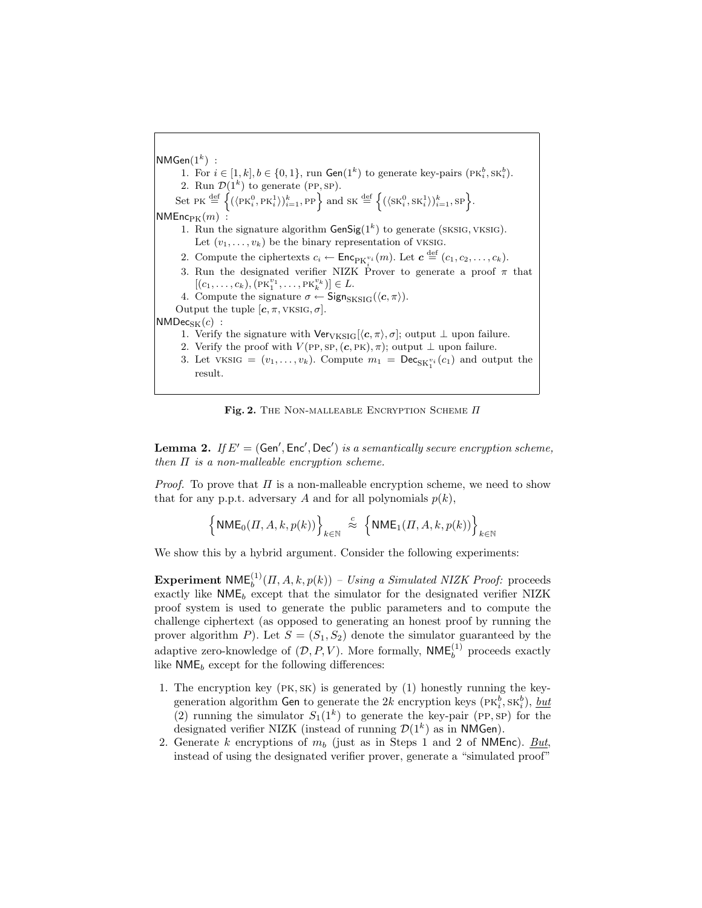$\mathsf{NMGen}(1^k)$  :

1. For  $i \in [1, k], b \in \{0, 1\}$ , run  $Gen(1^k)$  to generate key-pairs  $(PK_i^b, SK_i^b)$ . 2. Run  $\mathcal{D}(1^k)$  to generate (PP, SP).

Set PK  $\stackrel{\text{def}}{=} \left\{ (\langle \text{PK}_i^0, \text{PK}_i^1 \rangle_{i=1}^k, \text{PP} \right\}$  and  $\text{SK} \stackrel{\text{def}}{=} \left\{ (\langle \text{SK}_i^0, \text{SK}_i^1 \rangle_{i=1}^k, \text{SP} \right\}$ .

 $N$ MEnc $p_K(m)$ :

- 1. Run the signature algorithm  $\mathsf{GenSig}(1^k)$  to generate (SKSIG, VKSIG). Let  $(v_1, \ldots, v_k)$  be the binary representation of VKSIG.
- 2. Compute the ciphertexts  $c_i \leftarrow \mathsf{Enc}_{\mathsf{PK}^{v_i}}(m)$ . Let  $\mathbf{c} \stackrel{\text{def}}{=} (c_1, c_2, \dots, c_k)$ .
- 3. Run the designated verifier NIZK Prover to generate a proof  $\pi$  that  $[(c_1, \ldots, c_k), (\text{PK}_1^{v_1}, \ldots, \text{PK}_k^{v_k})] \in L.$
- 4. Compute the signature  $\sigma \leftarrow$  Sign<sub>SKSIG</sub>( $\langle c, \pi \rangle$ ).

Output the tuple  $[c, \pi, \text{VKSIG}, \sigma]$ .

 $\vert$ NMDec $_{\rm SK}(c)$  :

- 1. Verify the signature with  $\text{Ver}_{VKSIG}[\langle c, \pi \rangle, \sigma]$ ; output ⊥ upon failure.
- 2. Verify the proof with  $V(\text{PP}, \text{SP}, (\mathbf{c}, \text{PK}), \pi)$ ; output  $\perp$  upon failure.
- 3. Let VKSIG =  $(v_1, \ldots, v_k)$ . Compute  $m_1 = \text{Dec}_{SK_1^{v_i}}(c_1)$  and output the result.

Fig. 2. The Non-malleable Encryption Scheme Π

**Lemma 2.** If  $E' = (Gen', Enc', Dec')$  is a semantically secure encryption scheme, then  $\Pi$  is a non-malleable encryption scheme.

*Proof.* To prove that  $\Pi$  is a non-malleable encryption scheme, we need to show that for any p.p.t. adversary A and for all polynomials  $p(k)$ ,

$$
\Big\{\mathsf{NME}_0(\varPi, A, k, p(k))\Big\}_{k\in\mathbb{N}} ~\stackrel{c}{\approx}~ \Big\{\mathsf{NME}_1(\varPi, A, k, p(k))\Big\}_{k\in\mathbb{N}}
$$

We show this by a hybrid argument. Consider the following experiments:

Experiment  $\mathsf{NME}_b^{(1)}(II, A, k, p(k))$  – Using a Simulated NIZK Proof: proceeds exactly like  $NME<sub>b</sub>$  except that the simulator for the designated verifier NIZK proof system is used to generate the public parameters and to compute the challenge ciphertext (as opposed to generating an honest proof by running the prover algorithm P). Let  $S = (S_1, S_2)$  denote the simulator guaranteed by the adaptive zero-knowledge of  $(D, P, V)$ . More formally,  $\mathsf{NME}_b^{(1)}$  proceeds exactly like  $NME_b$  except for the following differences:

- 1. The encryption key (pk, sk) is generated by (1) honestly running the keygeneration algorithm Gen to generate the  $2k$  encryption keys  $(\text{PK}_i^b, \text{SK}_i^b), \underline{but}$ (2) running the simulator  $S_1(1^k)$  to generate the key-pair (PP, SP) for the designated verifier NIZK (instead of running  $\mathcal{D}(1^k)$  as in NMGen).
- 2. Generate k encryptions of  $m_b$  (just as in Steps 1 and 2 of NMEnc). But, instead of using the designated verifier prover, generate a "simulated proof"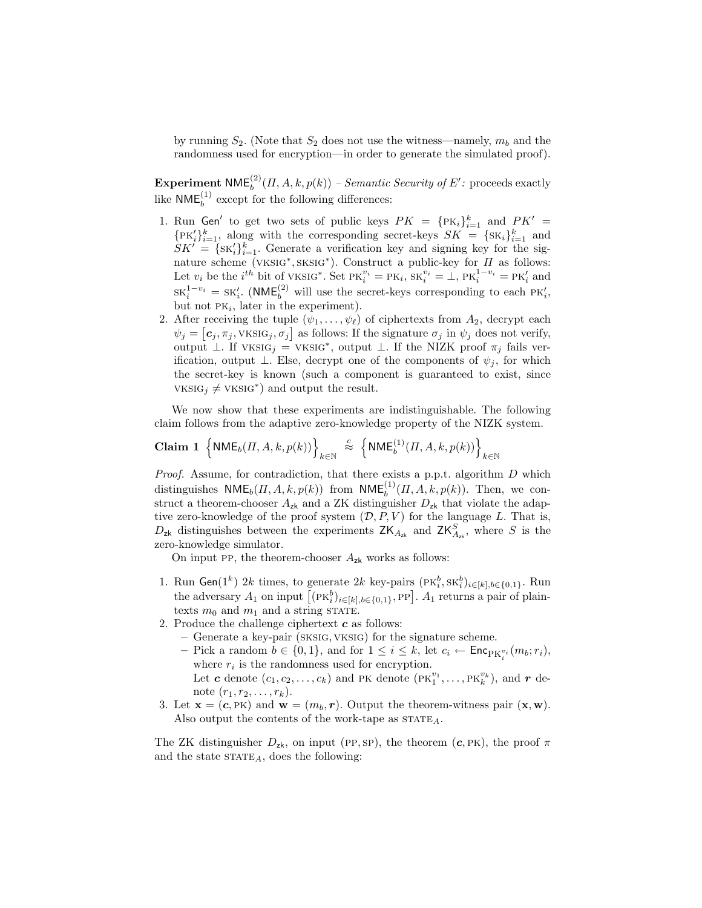by running  $S_2$ . (Note that  $S_2$  does not use the witness—namely,  $m_b$  and the randomness used for encryption—in order to generate the simulated proof).

Experiment  $\mathsf{NME}_b^{(2)}(II, A, k, p(k))$  – Semantic Security of E': proceeds exactly like  $\mathsf{NME}_b^{(1)}$  except for the following differences:

- 1. Run Gen' to get two sets of public keys  $PK = {PK<sub>i</sub>}<sub>i=1</sub><sup>k</sup>$  and  $PK' =$  $\{PK'_{i}\}_{i=1}^{k}$ , along with the corresponding secret-keys  $SK = \{SK_{i}\}_{i=1}^{k}$  and  $SK' = {SK'_{i}}_{i=1}^{k}$ . Generate a verification key and signing key for the signature scheme (VKSIG<sup>\*</sup>, SKSIG<sup>\*</sup>). Construct a public-key for  $\Pi$  as follows: Let  $v_i$  be the  $i^{th}$  bit of VKSIG<sup>\*</sup>. Set  $PK_i^{v_i} = PK_i$ ,  $SK_i^{v_i} = \bot$ ,  $PK_i^{1-v_i} = PK_i'$  and  $\text{SK}_i^{1-v_i} = \text{SK}_i'$ . (NME<sub>b</sub><sup>(2)</sup> will use the secret-keys corresponding to each PK<sub>i</sub>, but not  $PK_i$ , later in the experiment).
- 2. After receiving the tuple  $(\psi_1, \ldots, \psi_\ell)$  of ciphertexts from  $A_2$ , decrypt each  $\psi_j = [\mathbf{c}_j, \pi_j, \text{VKSIG}_j, \sigma_j]$  as follows: If the signature  $\sigma_j$  in  $\psi_j$  does not verify, output ⊥. If  $VKSIG_j = VKSIG^*$ , output ⊥. If the NIZK proof  $\pi_j$  fails verification, output  $\perp$ . Else, decrypt one of the components of  $\psi_i$ , for which the secret-key is known (such a component is guaranteed to exist, since  $VKSIG_j \neq VKSIG^*$  and output the result.

We now show that these experiments are indistinguishable. The following claim follows from the adaptive zero-knowledge property of the NIZK system.

$$
\textbf{Claim 1 }\left\{\textsf{NME}_b(\Pi, A, k, p(k))\right\}_{k \in \mathbb{N}} \overset{c}{\approx} \left\{\textsf{NME}_b^{(1)}(\Pi, A, k, p(k))\right\}_{k \in \mathbb{N}}
$$

Proof. Assume, for contradiction, that there exists a p.p.t. algorithm D which distinguishes  $\mathsf{NME}_b(\Pi, A, k, p(k))$  from  $\mathsf{NME}_b^{(1)}(\Pi, A, k, p(k))$ . Then, we construct a theorem-chooser  $A_{z\mathbf{k}}$  and a ZK distinguisher  $D_{z\mathbf{k}}$  that violate the adaptive zero-knowledge of the proof system  $(D, P, V)$  for the language L. That is,  $D_{z\mathsf{k}}$  distinguishes between the experiments  $Z\mathsf{K}_{A_{z\mathsf{k}}}$  and  $Z\mathsf{K}_{A_{z\mathsf{k}}}^S$ , where S is the zero-knowledge simulator.

On input PP, the theorem-chooser  $A_{\mathsf{zk}}$  works as follows:

- 1. Run Gen(1<sup>k</sup>) 2k times, to generate 2k key-pairs  $(\text{PK}_i^b, \text{SK}_i^b)_{i \in [k], b \in \{0,1\}}$ . Run the adversary  $A_1$  on input  $[(PK_i^b)_{i\in[k],b\in\{0,1\}}, PP]$ .  $A_1$  returns a pair of plaintexts  $m_0$  and  $m_1$  and a string STATE.
- 2. Produce the challenge ciphertext  $c$  as follows:
	- Generate a key-pair (sksig, vksig) for the signature scheme.
	- Pick a random  $b \in \{0, 1\}$ , and for  $1 \leq i \leq k$ , let  $c_i \leftarrow \mathsf{Enc}_{\mathrm{PK}_i^{v_i}}(m_b; r_i)$ , where  $r_i$  is the randomness used for encryption. Let **c** denote  $(c_1, c_2, \ldots, c_k)$  and PK denote  $(\text{PK}_1^{v_1}, \ldots, \text{PK}_k^{v_k})$ , and **r** denote  $(r_1, r_2, \ldots, r_k)$ .
- 3. Let  $\mathbf{x} = (\mathbf{c}, \mathbf{p})$  and  $\mathbf{w} = (m_b, r)$ . Output the theorem-witness pair  $(\mathbf{x}, \mathbf{w})$ . Also output the contents of the work-tape as  $STATE_A$ .

The ZK distinguisher  $D_{\mathbf{z}k}$ , on input (PP, SP), the theorem  $(c, PK)$ , the proof  $\pi$ and the state  $STATE_A$ , does the following: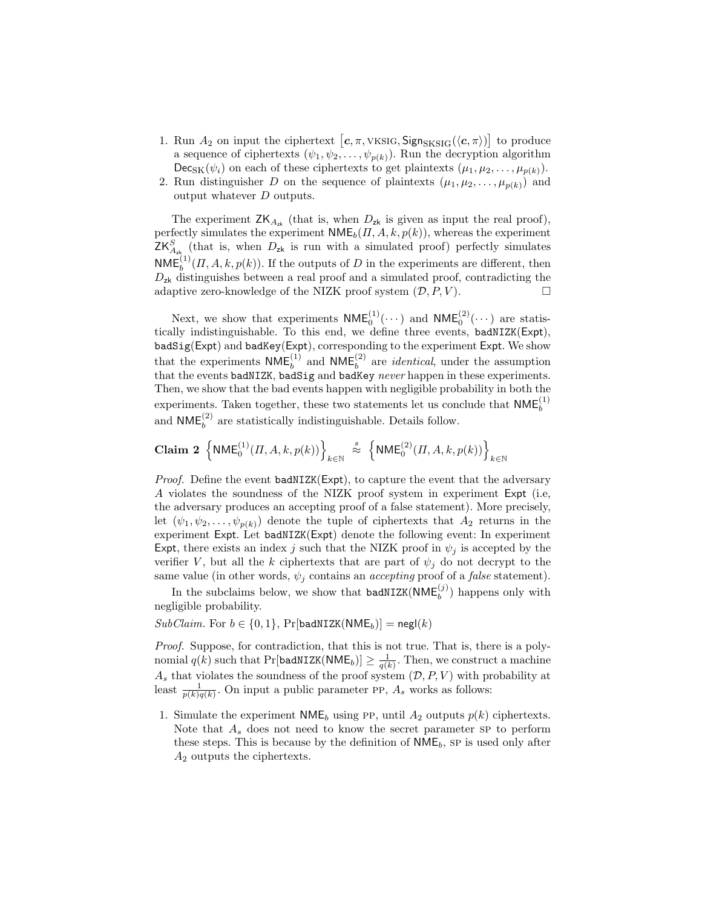- 1. Run  $A_2$  on input the ciphertext  $[c, \pi, VKSIG, Sign_{SKSIG}(\langle c, \pi \rangle)]$  to produce a sequence of ciphertexts  $(\psi_1, \psi_2, \dots, \psi_{p(k)})$ . Run the decryption algorithm  $\mathsf{Dec}_{SK}(\psi_i)$  on each of these ciphertexts to get plaintexts  $(\mu_1, \mu_2, \ldots, \mu_{p(k)})$ .
- 2. Run distinguisher D on the sequence of plaintexts  $(\mu_1, \mu_2, \ldots, \mu_{p(k)})$  and output whatever D outputs.

The experiment  $ZK_{A_{rk}}$  (that is, when  $D_{zk}$  is given as input the real proof), perfectly simulates the experiment  $\mathsf{NME}_b(\Pi, A, k, p(k))$ , whereas the experiment  $ZK_{A_{2k}}^S$  (that is, when  $D_{2k}$  is run with a simulated proof) perfectly simulates  $NME<sub>b</sub><sup>(1)</sup>(\Pi, A, k, p(k))$ . If the outputs of D in the experiments are different, then  $D_{\mathbf{z}k}$  distinguishes between a real proof and a simulated proof, contradicting the adaptive zero-knowledge of the NIZK proof system  $(D, P, V)$ .

Next, we show that experiments  $\mathsf{NME}_0^{(1)}(\dots)$  and  $\mathsf{NME}_0^{(2)}(\dots)$  are statistically indistinguishable. To this end, we define three events, badNIZK(Expt), badSig(Expt) and badKey(Expt), corresponding to the experiment Expt. We show that the experiments  $NME_b^{(1)}$  and  $NME_b^{(2)}$  are *identical*, under the assumption that the events badNIZK, badSig and badKey never happen in these experiments. Then, we show that the bad events happen with negligible probability in both the experiments. Taken together, these two statements let us conclude that  $\mathsf{NME}_b^{(1)}$ and  $\text{NME}_{b}^{(2)}$  are statistically indistinguishable. Details follow.

$$
\textbf{Claim 2 } \left\{ \textsf{NME}_{0}^{(1)}(\Pi,A,k,p(k)) \right\}_{k \in \mathbb{N}} \overset{s}{\approx} \left\{ \textsf{NME}_{0}^{(2)}(\Pi,A,k,p(k)) \right\}_{k \in \mathbb{N}}
$$

Proof. Define the event badNIZK(Expt), to capture the event that the adversary A violates the soundness of the NIZK proof system in experiment Expt (i.e, the adversary produces an accepting proof of a false statement). More precisely, let  $(\psi_1, \psi_2, \ldots, \psi_{p(k)})$  denote the tuple of ciphertexts that  $A_2$  returns in the experiment Expt. Let badNIZK(Expt) denote the following event: In experiment Expt, there exists an index j such that the NIZK proof in  $\psi_j$  is accepted by the verifier V, but all the k ciphertexts that are part of  $\psi_j$  do not decrypt to the same value (in other words,  $\psi_j$  contains an *accepting* proof of a *false* statement).

In the subclaims below, we show that  $\texttt{badNIZK}(\textsf{NME}_b^{(j)})$  happens only with negligible probability.

 $SubClaim.$  For  $b \in \{0,1\}$ ,  $Pr[badNIZK(NME<sub>b</sub>)] = negl(k)$ 

Proof. Suppose, for contradiction, that this is not true. That is, there is a polynomial  $q(k)$  such that Pr[badNIZK(NME<sub>b</sub>)]  $\geq \frac{1}{q(k)}$ . Then, we construct a machine  $A_s$  that violates the soundness of the proof system  $(D, P, V)$  with probability at least  $\frac{1}{p(k)q(k)}$ . On input a public parameter PP,  $A_s$  works as follows:

1. Simulate the experiment  $NME_b$  using PP, until  $A_2$  outputs  $p(k)$  ciphertexts. Note that  $A_s$  does not need to know the secret parameter sp to perform these steps. This is because by the definition of  $\mathsf{NME}_b$ , SP is used only after A<sup>2</sup> outputs the ciphertexts.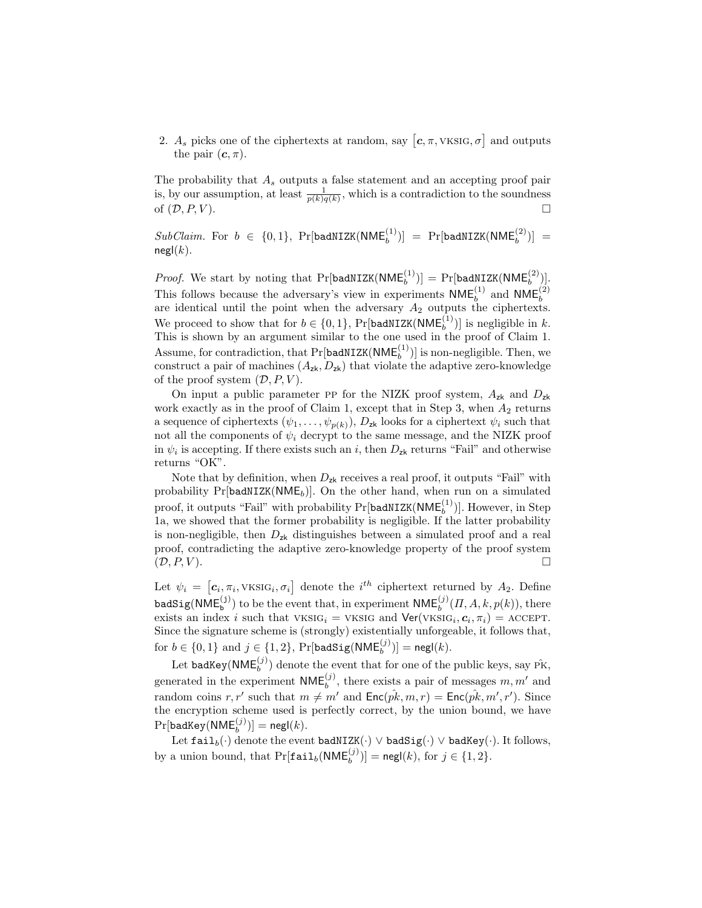2.  $A_s$  picks one of the ciphertexts at random, say  $\left[c, \pi, VKSIG, \sigma\right]$  and outputs the pair  $(c, \pi)$ .

The probability that  $A_s$  outputs a false statement and an accepting proof pair is, by our assumption, at least  $\frac{1}{p(k)q(k)}$ , which is a contradiction to the soundness of  $(D, P, V)$ .

 $\textit{SubClaim.} \;\; \text{For} \;\; b \;\; \in \; \{0,1\}, \;\; \text{Pr}[\texttt{badNIZK}(\textsf{NME}_b^{(1)})] \;\; = \;\; \text{Pr}[\texttt{badNIZK}(\textsf{NME}_b^{(2)})] \;\; =$  $negl(k)$ .

*Proof.* We start by noting that  $Pr[\text{badMIZK}(\text{NME}_b^{(1)})] = Pr[\text{badMIZK}(\text{NME}_b^{(2)})]$ . This follows because the adversary's view in experiments  $\mathsf{NME}_b^{(1)}$  and  $\mathsf{NME}_b^{(2)}$ are identical until the point when the adversary  $A_2$  outputs the ciphertexts. We proceed to show that for  $b \in \{0, 1\}$ , Pr[badNIZK(NME<sub>b</sub><sup>(1)</sup>)] is negligible in k. This is shown by an argument similar to the one used in the proof of Claim 1. Assume, for contradiction, that  $Pr[\text{badNIZK}(\textsf{NME}_b^{(1)})]$  is non-negligible. Then, we construct a pair of machines  $(A_{\mathbf{z}k}, D_{\mathbf{z}k})$  that violate the adaptive zero-knowledge of the proof system  $(D, P, V)$ .

On input a public parameter PP for the NIZK proof system,  $A_{\mathsf{zk}}$  and  $D_{\mathsf{zk}}$ work exactly as in the proof of Claim 1, except that in Step 3, when  $A_2$  returns a sequence of ciphertexts  $(\psi_1, \ldots, \psi_{p(k)})$ ,  $D_{\mathbf{z}k}$  looks for a ciphertext  $\psi_i$  such that not all the components of  $\psi_i$  decrypt to the same message, and the NIZK proof in  $\psi_i$  is accepting. If there exists such an i, then  $D_{\mathsf{zk}}$  returns "Fail" and otherwise returns "OK".

Note that by definition, when  $D_{z_k}$  receives a real proof, it outputs "Fail" with probability  $Pr[badNIZK(NME<sub>b</sub>)]$ . On the other hand, when run on a simulated proof, it outputs "Fail" with probability  $\Pr[\mathtt{badNIZK}(\mathsf{NME}_b^{(1)})]$ . However, in Step 1a, we showed that the former probability is negligible. If the latter probability is non-negligible, then  $D_{z<sub>k</sub>}$  distinguishes between a simulated proof and a real proof, contradicting the adaptive zero-knowledge property of the proof system  $(D, P, V)$ .

Let  $\psi_i = [\mathbf{c}_i, \pi_i, \text{VKSIG}_i, \sigma_i]$  denote the  $i^{th}$  ciphertext returned by  $A_2$ . Define bad $\text{Sig}(\textsf{NME}^{(\texttt{j})}_\texttt{b})$  to be the event that, in experiment  $\textsf{NME}^{(\texttt{j})}_b(\varPi, A, k, p(k)),$  there exists an index i such that  $VKSIG_i = VKSIG$  and  $Ver(VKSIG_i, c_i, \pi_i) = ACCEPT$ . Since the signature scheme is (strongly) existentially unforgeable, it follows that, for  $b \in \{0,1\}$  and  $j \in \{1,2\}$ ,  $\Pr[\mathtt{badSig}(\mathsf{NME}_b^{(j)})] = \mathsf{negl}(k)$ .

Let badKey( $\mathsf{NME}_b^{(j)}$ ) denote the event that for one of the public keys, say  $\hat{\text{pk}}$ , generated in the experiment  $NME_b^{(j)}$ , there exists a pair of messages  $m, m'$  and random coins  $r, r'$  such that  $m \neq m'$  and  $\text{Enc}(\hat{pk}, m, r) = \text{Enc}(\hat{pk}, m', r')$ . Since the encryption scheme used is perfectly correct, by the union bound, we have  $\Pr[\mathtt{badKey}(\mathsf{NME}_b^{(j)})] = \mathsf{negl}(k).$ 

Let  $\text{fail}_b(\cdot)$  denote the event badNIZK( $\cdot$ )  $\vee$  badSig( $\cdot$ )  $\vee$  badKey( $\cdot$ ). It follows, by a union bound, that  $\Pr[\mathtt{fail}_b(\mathsf{NME}_b^{(j)})] = \mathsf{negl}(k)$ , for  $j \in \{1,2\}$ .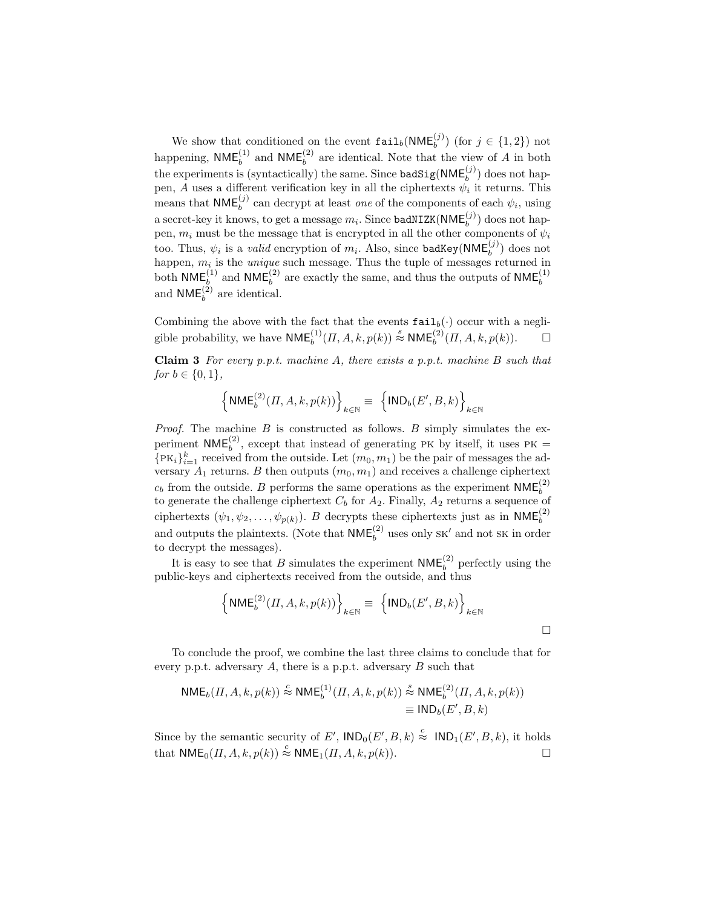We show that conditioned on the event  $\texttt{fail}_b(\textsf{NME}_b^{(j)})$  (for  $j \in \{1,2\}$ ) not happening,  $NME_b^{(1)}$  and  $NME_b^{(2)}$  are identical. Note that the view of A in both the experiments is (syntactically) the same. Since  $\texttt{badSig}(\textsf{NME}_b^{(j)})$  does not happen, A uses a different verification key in all the ciphertexts  $\psi_i$  it returns. This means that  $\text{NME}_{b}^{(j)}$  can decrypt at least *one* of the components of each  $\psi_i$ , using a secret-key it knows, to get a message  $m_i$ . Since badNIZK( $\mathsf{NME}_b^{(j)}$ ) does not happen,  $m_i$  must be the message that is encrypted in all the other components of  $\psi_i$ too. Thus,  $\psi_i$  is a *valid* encryption of  $m_i$ . Also, since badKey(NME $_b^{(j)}$ ) does not happen,  $m_i$  is the *unique* such message. Thus the tuple of messages returned in both  $\text{NME}_b^{(1)}$  and  $\text{NME}_b^{(2)}$  are exactly the same, and thus the outputs of  $\text{NME}_b^{(1)}$  and  $\text{NME}_b^{(2)}$  are identical.

Combining the above with the fact that the events  $\text{fail}_b(\cdot)$  occur with a negligible probability, we have  $\mathsf{NME}_b^{(1)}(H, A, k, p(k)) \stackrel{s}{\approx} \mathsf{NME}_b^{(2)}(H, A, k, p(k)).$ 

**Claim 3** For every p.p.t. machine A, there exists a p.p.t. machine B such that for  $b \in \{0, 1\}$ ,

$$
\left\{\mathsf{NME}_b^{(2)}(\varPi, A, k, p(k))\right\}_{k\in\mathbb{N}} \equiv \left.\left\{\mathsf{IND}_b(E', B, k)\right\}_{k\in\mathbb{N}}
$$

*Proof.* The machine  $B$  is constructed as follows.  $B$  simply simulates the experiment NME<sup>(2)</sup>, except that instead of generating PK by itself, it uses PK =  $\{PK_i\}_{i=1}^k$  received from the outside. Let  $(m_0, m_1)$  be the pair of messages the adversary  $A_1$  returns. B then outputs  $(m_0, m_1)$  and receives a challenge ciphertext  $c_b$  from the outside. B performs the same operations as the experiment  $NME_b^{(2)}$ to generate the challenge ciphertext  $C_b$  for  $A_2$ . Finally,  $A_2$  returns a sequence of ciphertexts  $(\psi_1, \psi_2, \dots, \psi_{p(k)})$ . B decrypts these ciphertexts just as in NME<sub>b</sub><sup>(2)</sup> and outputs the plaintexts. (Note that  $NME_b^{(2)}$  uses only SK' and not SK in order to decrypt the messages).

It is easy to see that B simulates the experiment  $\mathsf{NME}_b^{(2)}$  perfectly using the public-keys and ciphertexts received from the outside, and thus

$$
\left\{\text{NME}_{b}^{(2)}(\Pi, A, k, p(k))\right\}_{k \in \mathbb{N}} \equiv \left\{\text{IND}_{b}(E', B, k)\right\}_{k \in \mathbb{N}}
$$

To conclude the proof, we combine the last three claims to conclude that for every p.p.t. adversary  $A$ , there is a p.p.t. adversary  $B$  such that

$$
\begin{aligned} \mathsf{NME}_b(\Pi, A, k, p(k)) &\stackrel{c}{\approx} \mathsf{NME}_b^{(1)}(\Pi, A, k, p(k)) \stackrel{s}{\approx} \mathsf{NME}_b^{(2)}(\Pi, A, k, p(k)) \\ &\equiv \mathsf{IND}_b(E', B, k) \end{aligned}
$$

Since by the semantic security of E',  $\mathsf{IND}_0(E',B,k) \stackrel{c}{\approx} \mathsf{IND}_1(E',B,k)$ , it holds that  $NME_0(\Pi, A, k, p(k)) \stackrel{c}{\approx} NME_1(\Pi, A, k, p(k)).$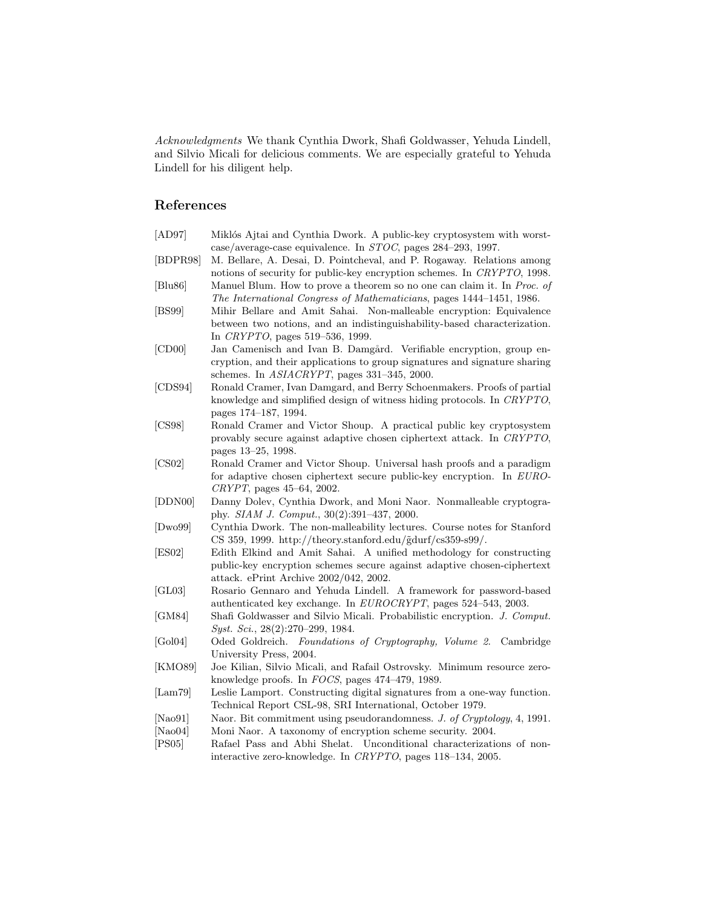Acknowledgments We thank Cynthia Dwork, Shafi Goldwasser, Yehuda Lindell, and Silvio Micali for delicious comments. We are especially grateful to Yehuda Lindell for his diligent help.

## References

| [AD97]                     | Miklós Ajtai and Cynthia Dwork. A public-key cryptosystem with worst-<br>case/average-case equivalence. In $STOC$ , pages 284-293, 1997. |
|----------------------------|------------------------------------------------------------------------------------------------------------------------------------------|
| [BDPR98]                   | M. Bellare, A. Desai, D. Pointcheval, and P. Rogaway. Relations among                                                                    |
|                            | notions of security for public-key encryption schemes. In CRYPTO, 1998.                                                                  |
| [Blu86]                    | Manuel Blum. How to prove a theorem so no one can claim it. In <i>Proc. of</i>                                                           |
|                            | The International Congress of Mathematicians, pages 1444–1451, 1986.                                                                     |
| [BS99]                     | Mihir Bellare and Amit Sahai. Non-malleable encryption: Equivalence                                                                      |
|                            | between two notions, and an indistinguishability-based characterization.                                                                 |
|                            | In CRYPTO, pages 519-536, 1999.                                                                                                          |
| [CD00]                     | Jan Camenisch and Ivan B. Damgård. Verifiable encryption, group en-                                                                      |
|                            | cryption, and their applications to group signatures and signature sharing                                                               |
|                            | schemes. In ASIACRYPT, pages 331-345, 2000.                                                                                              |
| [CDS94]                    | Ronald Cramer, Ivan Damgard, and Berry Schoenmakers. Proofs of partial                                                                   |
|                            | knowledge and simplified design of witness hiding protocols. In CRYPTO,                                                                  |
|                            | pages 174–187, 1994.                                                                                                                     |
| [CS98]                     | Ronald Cramer and Victor Shoup. A practical public key cryptosystem                                                                      |
|                            | provably secure against adaptive chosen ciphertext attack. In CRYPTO,                                                                    |
|                            | pages 13–25, 1998.                                                                                                                       |
| [CS02]                     | Ronald Cramer and Victor Shoup. Universal hash proofs and a paradigm                                                                     |
|                            | for adaptive chosen ciphertext secure public-key encryption. In EURO-                                                                    |
|                            | $CRYPT$ , pages 45–64, 2002.                                                                                                             |
| [DDN00]                    | Danny Dolev, Cynthia Dwork, and Moni Naor. Nonmalleable cryptogra-                                                                       |
|                            | phy. SIAM J. Comput., 30(2):391-437, 2000.                                                                                               |
| [Dwo99]                    | Cynthia Dwork. The non-malleability lectures. Course notes for Stanford                                                                  |
|                            | CS 359, 1999. http://theory.stanford.edu/ $\tilde{g}$ durf/cs359-s99/.                                                                   |
| [ES02]                     | Edith Elkind and Amit Sahai. A unified methodology for constructing                                                                      |
|                            | public-key encryption schemes secure against adaptive chosen-ciphertext                                                                  |
|                            | attack. ePrint Archive $2002/042$ , 2002.                                                                                                |
| [GL03]                     | Rosario Gennaro and Yehuda Lindell. A framework for password-based                                                                       |
|                            | authenticated key exchange. In EUROCRYPT, pages 524-543, 2003.                                                                           |
| [GM84]                     | Shafi Goldwasser and Silvio Micali. Probabilistic encryption. J. Comput.                                                                 |
|                            | <i>Syst. Sci.</i> , $28(2):270-299$ , 1984.                                                                                              |
| [Gol04]                    | Oded Goldreich. Foundations of Cryptography, Volume 2. Cambridge                                                                         |
|                            | University Press, 2004.                                                                                                                  |
| [KMO89]                    | Joe Kilian, Silvio Micali, and Rafail Ostrovsky. Minimum resource zero-                                                                  |
|                            | knowledge proofs. In FOCS, pages 474-479, 1989.                                                                                          |
| [Lam79]                    | Leslie Lamport. Constructing digital signatures from a one-way function.                                                                 |
|                            | Technical Report CSL-98, SRI International, October 1979.                                                                                |
| [Na091]                    | Naor. Bit commitment using pseudorandomness. J. of Cryptology, 4, 1991.                                                                  |
| [ $Na$ <sub>0</sub> $04$ ] | Moni Naor. A taxonomy of encryption scheme security. 2004.                                                                               |
| [PS05]                     | Rafael Pass and Abhi Shelat. Unconditional characterizations of non-                                                                     |
|                            | interactive zero-knowledge. In CRYPTO, pages 118-134, 2005.                                                                              |